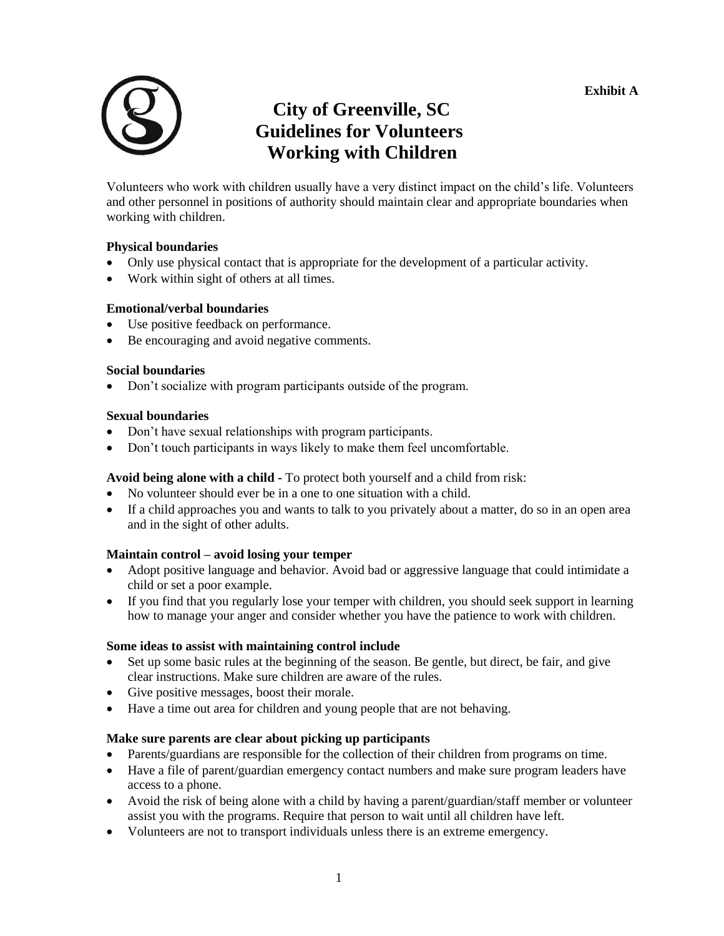

# **City of Greenville, SC Guidelines for Volunteers Working with Children**

Volunteers who work with children usually have a very distinct impact on the child's life. Volunteers and other personnel in positions of authority should maintain clear and appropriate boundaries when working with children.

#### **Physical boundaries**

- Only use physical contact that is appropriate for the development of a particular activity.
- Work within sight of others at all times.

#### **Emotional/verbal boundaries**

- Use positive feedback on performance.
- Be encouraging and avoid negative comments.

#### **Social boundaries**

• Don't socialize with program participants outside of the program.

#### **Sexual boundaries**

- Don't have sexual relationships with program participants.
- Don't touch participants in ways likely to make them feel uncomfortable.

### **Avoid being alone with a child -** To protect both yourself and a child from risk:

- No volunteer should ever be in a one to one situation with a child.
- If a child approaches you and wants to talk to you privately about a matter, do so in an open area and in the sight of other adults.

### **Maintain control – avoid losing your temper**

- Adopt positive language and behavior. Avoid bad or aggressive language that could intimidate a child or set a poor example.
- If you find that you regularly lose your temper with children, you should seek support in learning how to manage your anger and consider whether you have the patience to work with children.

#### **Some ideas to assist with maintaining control include**

- Set up some basic rules at the beginning of the season. Be gentle, but direct, be fair, and give clear instructions. Make sure children are aware of the rules.
- Give positive messages, boost their morale.
- Have a time out area for children and young people that are not behaving.

#### **Make sure parents are clear about picking up participants**

- Parents/guardians are responsible for the collection of their children from programs on time.
- Have a file of parent/guardian emergency contact numbers and make sure program leaders have access to a phone.
- Avoid the risk of being alone with a child by having a parent/guardian/staff member or volunteer assist you with the programs. Require that person to wait until all children have left.
- Volunteers are not to transport individuals unless there is an extreme emergency.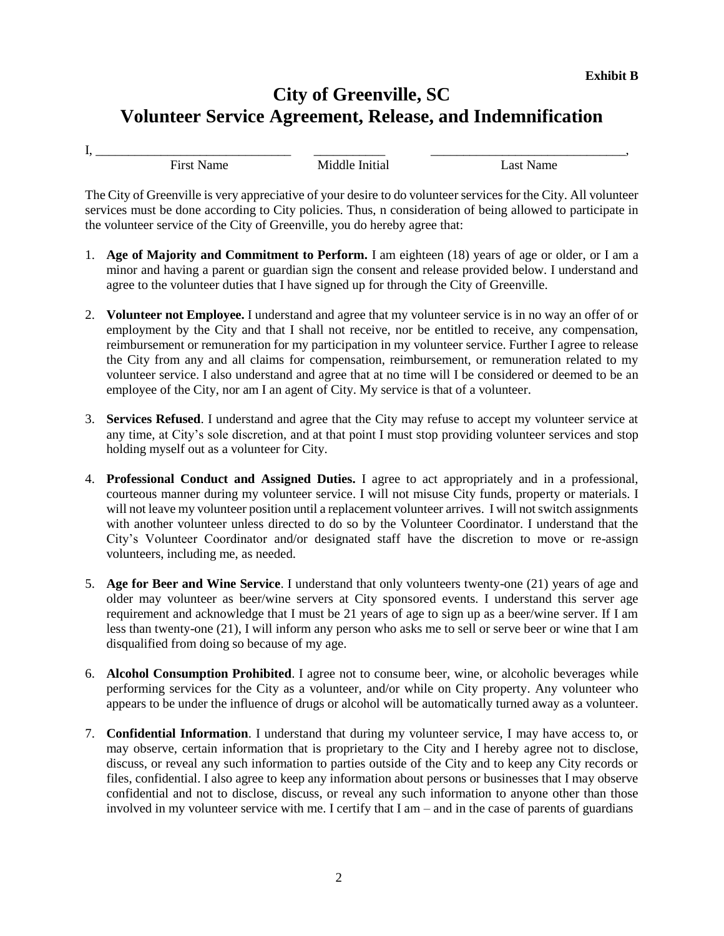# **City of Greenville, SC Volunteer Service Agreement, Release, and Indemnification**

I, \_\_\_\_\_\_\_\_\_\_\_\_\_\_\_\_\_\_\_\_\_\_\_\_\_\_\_\_\_\_ \_\_\_\_\_\_\_\_\_\_\_ \_\_\_\_\_\_\_\_\_\_\_\_\_\_\_\_\_\_\_\_\_\_\_\_\_\_\_\_\_\_,

First Name Middle Initial Last Name

The City of Greenville is very appreciative of your desire to do volunteer services for the City. All volunteer services must be done according to City policies. Thus, n consideration of being allowed to participate in the volunteer service of the City of Greenville, you do hereby agree that:

- 1. **Age of Majority and Commitment to Perform.** I am eighteen (18) years of age or older, or I am a minor and having a parent or guardian sign the consent and release provided below. I understand and agree to the volunteer duties that I have signed up for through the City of Greenville.
- 2. **Volunteer not Employee.** I understand and agree that my volunteer service is in no way an offer of or employment by the City and that I shall not receive, nor be entitled to receive, any compensation, reimbursement or remuneration for my participation in my volunteer service. Further I agree to release the City from any and all claims for compensation, reimbursement, or remuneration related to my volunteer service. I also understand and agree that at no time will I be considered or deemed to be an employee of the City, nor am I an agent of City. My service is that of a volunteer.
- 3. **Services Refused**. I understand and agree that the City may refuse to accept my volunteer service at any time, at City's sole discretion, and at that point I must stop providing volunteer services and stop holding myself out as a volunteer for City.
- 4. **Professional Conduct and Assigned Duties.** I agree to act appropriately and in a professional, courteous manner during my volunteer service. I will not misuse City funds, property or materials. I will not leave my volunteer position until a replacement volunteer arrives. I will not switch assignments with another volunteer unless directed to do so by the Volunteer Coordinator. I understand that the City's Volunteer Coordinator and/or designated staff have the discretion to move or re-assign volunteers, including me, as needed.
- 5. **Age for Beer and Wine Service**. I understand that only volunteers twenty-one (21) years of age and older may volunteer as beer/wine servers at City sponsored events. I understand this server age requirement and acknowledge that I must be 21 years of age to sign up as a beer/wine server. If I am less than twenty-one (21), I will inform any person who asks me to sell or serve beer or wine that I am disqualified from doing so because of my age.
- 6. **Alcohol Consumption Prohibited**. I agree not to consume beer, wine, or alcoholic beverages while performing services for the City as a volunteer, and/or while on City property. Any volunteer who appears to be under the influence of drugs or alcohol will be automatically turned away as a volunteer.
- 7. **Confidential Information**. I understand that during my volunteer service, I may have access to, or may observe, certain information that is proprietary to the City and I hereby agree not to disclose, discuss, or reveal any such information to parties outside of the City and to keep any City records or files, confidential. I also agree to keep any information about persons or businesses that I may observe confidential and not to disclose, discuss, or reveal any such information to anyone other than those involved in my volunteer service with me. I certify that I am – and in the case of parents of guardians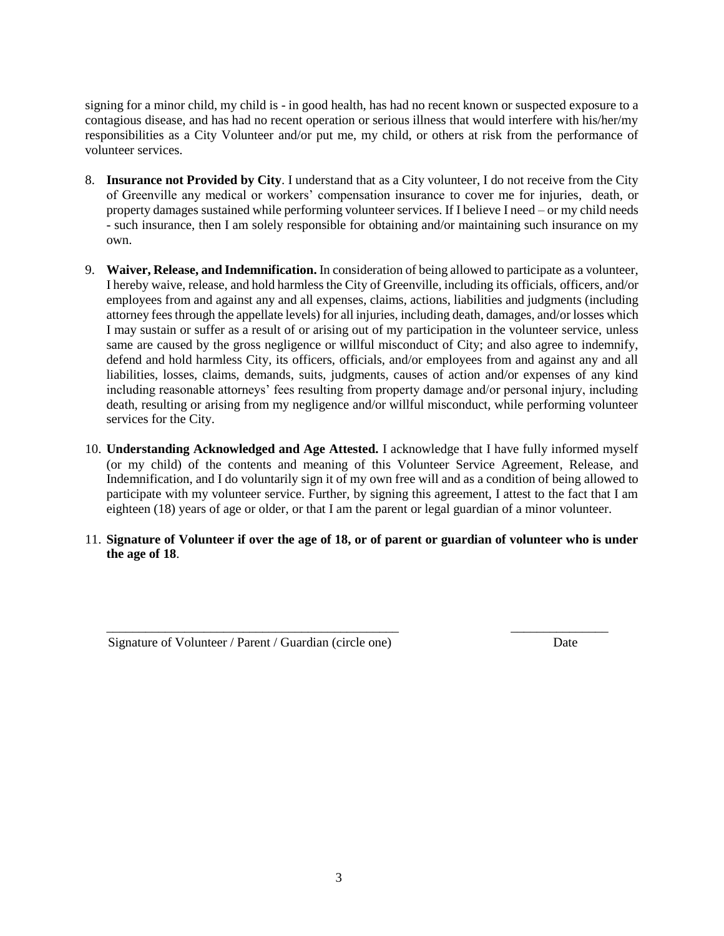signing for a minor child, my child is - in good health, has had no recent known or suspected exposure to a contagious disease, and has had no recent operation or serious illness that would interfere with his/her/my responsibilities as a City Volunteer and/or put me, my child, or others at risk from the performance of volunteer services.

- 8. **Insurance not Provided by City**. I understand that as a City volunteer, I do not receive from the City of Greenville any medical or workers' compensation insurance to cover me for injuries, death, or property damages sustained while performing volunteer services. If I believe I need – or my child needs - such insurance, then I am solely responsible for obtaining and/or maintaining such insurance on my own.
- 9. **Waiver, Release, and Indemnification.** In consideration of being allowed to participate as a volunteer, I hereby waive, release, and hold harmless the City of Greenville, including its officials, officers, and/or employees from and against any and all expenses, claims, actions, liabilities and judgments (including attorney fees through the appellate levels) for all injuries, including death, damages, and/or losses which I may sustain or suffer as a result of or arising out of my participation in the volunteer service, unless same are caused by the gross negligence or willful misconduct of City; and also agree to indemnify, defend and hold harmless City, its officers, officials, and/or employees from and against any and all liabilities, losses, claims, demands, suits, judgments, causes of action and/or expenses of any kind including reasonable attorneys' fees resulting from property damage and/or personal injury, including death, resulting or arising from my negligence and/or willful misconduct, while performing volunteer services for the City.
- 10. **Understanding Acknowledged and Age Attested.** I acknowledge that I have fully informed myself (or my child) of the contents and meaning of this Volunteer Service Agreement, Release, and Indemnification, and I do voluntarily sign it of my own free will and as a condition of being allowed to participate with my volunteer service. Further, by signing this agreement, I attest to the fact that I am eighteen (18) years of age or older, or that I am the parent or legal guardian of a minor volunteer.
- 11. **Signature of Volunteer if over the age of 18, or of parent or guardian of volunteer who is under the age of 18**.

\_\_\_\_\_\_\_\_\_\_\_\_\_\_\_\_\_\_\_\_\_\_\_\_\_\_\_\_\_\_\_\_\_\_\_\_\_\_\_\_\_\_\_\_\_ \_\_\_\_\_\_\_\_\_\_\_\_\_\_\_

Signature of Volunteer / Parent / Guardian (circle one) Date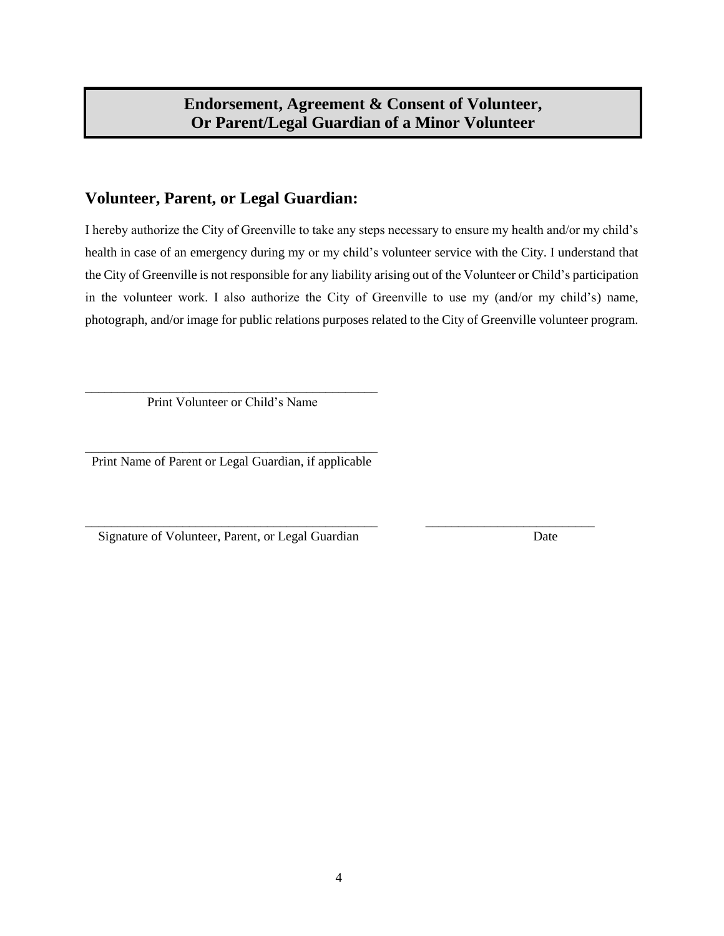# **Endorsement, Agreement & Consent of Volunteer, Or Parent/Legal Guardian of a Minor Volunteer**

## **Volunteer, Parent, or Legal Guardian:**

I hereby authorize the City of Greenville to take any steps necessary to ensure my health and/or my child's health in case of an emergency during my or my child's volunteer service with the City. I understand that the City of Greenville is not responsible for any liability arising out of the Volunteer or Child's participation in the volunteer work. I also authorize the City of Greenville to use my (and/or my child's) name, photograph, and/or image for public relations purposes related to the City of Greenville volunteer program.

\_\_\_\_\_\_\_\_\_\_\_\_\_\_\_\_\_\_\_\_\_\_\_\_\_\_\_\_\_\_\_\_\_\_\_\_\_\_\_\_\_\_\_\_\_ Print Volunteer or Child's Name

\_\_\_\_\_\_\_\_\_\_\_\_\_\_\_\_\_\_\_\_\_\_\_\_\_\_\_\_\_\_\_\_\_\_\_\_\_\_\_\_\_\_\_\_\_ Print Name of Parent or Legal Guardian, if applicable

\_\_\_\_\_\_\_\_\_\_\_\_\_\_\_\_\_\_\_\_\_\_\_\_\_\_\_\_\_\_\_\_\_\_\_\_\_\_\_\_\_\_\_\_\_ \_\_\_\_\_\_\_\_\_\_\_\_\_\_\_\_\_\_\_\_\_\_\_\_\_\_ Signature of Volunteer, Parent, or Legal Guardian Date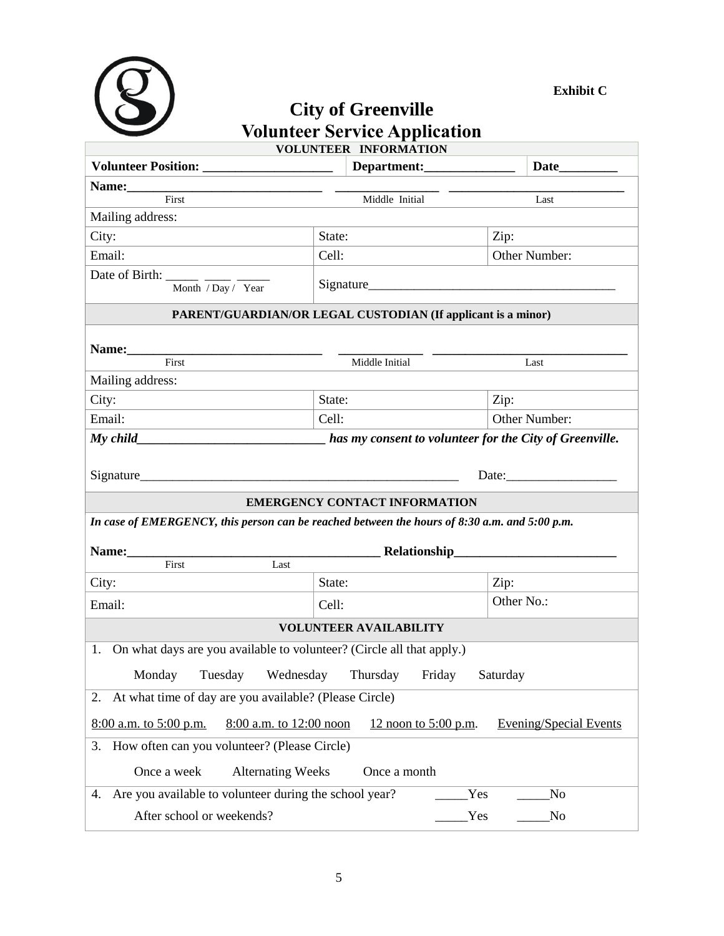

## **Exhibit C**

## **City of Greenville Volunteer Service Application VOLUNTEER INFORMATION**

| First<br>Middle Initial                                                                                      |                                                                  |                |               | Last           |  |  |
|--------------------------------------------------------------------------------------------------------------|------------------------------------------------------------------|----------------|---------------|----------------|--|--|
| Mailing address:                                                                                             |                                                                  |                |               |                |  |  |
| City:                                                                                                        | State:                                                           |                | Zip:          |                |  |  |
| Email:                                                                                                       | Cell:                                                            |                | Other Number: |                |  |  |
| Date of Birth: ______ ____ ____                                                                              |                                                                  |                |               |                |  |  |
|                                                                                                              | Signature<br>Month / Day / Year                                  |                |               |                |  |  |
| PARENT/GUARDIAN/OR LEGAL CUSTODIAN (If applicant is a minor)                                                 |                                                                  |                |               |                |  |  |
|                                                                                                              |                                                                  |                |               |                |  |  |
| Name: First                                                                                                  |                                                                  | Middle Initial |               | Last           |  |  |
| Mailing address:                                                                                             |                                                                  |                |               |                |  |  |
| City:                                                                                                        | State:                                                           |                | Zip:          |                |  |  |
| Email:                                                                                                       | Cell:                                                            |                | Other Number: |                |  |  |
|                                                                                                              | My child has my consent to volunteer for the City of Greenville. |                |               |                |  |  |
|                                                                                                              |                                                                  |                |               |                |  |  |
|                                                                                                              |                                                                  |                |               | Date:          |  |  |
| <b>EMERGENCY CONTACT INFORMATION</b>                                                                         |                                                                  |                |               |                |  |  |
| In case of EMERGENCY, this person can be reached between the hours of $8:30$ a.m. and $5:00$ p.m.            |                                                                  |                |               |                |  |  |
|                                                                                                              |                                                                  |                |               |                |  |  |
| First<br>Last                                                                                                |                                                                  |                |               |                |  |  |
| City:                                                                                                        | State:                                                           |                | Zip:          |                |  |  |
|                                                                                                              |                                                                  |                | Other No.:    |                |  |  |
| Email:                                                                                                       | Cell:                                                            |                |               |                |  |  |
| <b>VOLUNTEER AVAILABILITY</b>                                                                                |                                                                  |                |               |                |  |  |
| On what days are you available to volunteer? (Circle all that apply.)<br>1.                                  |                                                                  |                |               |                |  |  |
| Thursday<br>Monday<br>Tuesday<br>Wednesday<br>Friday<br>Saturday                                             |                                                                  |                |               |                |  |  |
| At what time of day are you available? (Please Circle)<br>2.                                                 |                                                                  |                |               |                |  |  |
| <b>Evening/Special Events</b><br>$8:00$ a.m. to 5:00 p.m.<br>8:00 a.m. to 12:00 noon<br>12 noon to 5:00 p.m. |                                                                  |                |               |                |  |  |
| How often can you volunteer? (Please Circle)<br>3.                                                           |                                                                  |                |               |                |  |  |
| Once a week<br><b>Alternating Weeks</b><br>Once a month                                                      |                                                                  |                |               |                |  |  |
| Are you available to volunteer during the school year?<br>4.                                                 |                                                                  | Yes            |               | N <sub>o</sub> |  |  |
| After school or weekends?<br><b>Yes</b><br>$\rm No$                                                          |                                                                  |                |               |                |  |  |